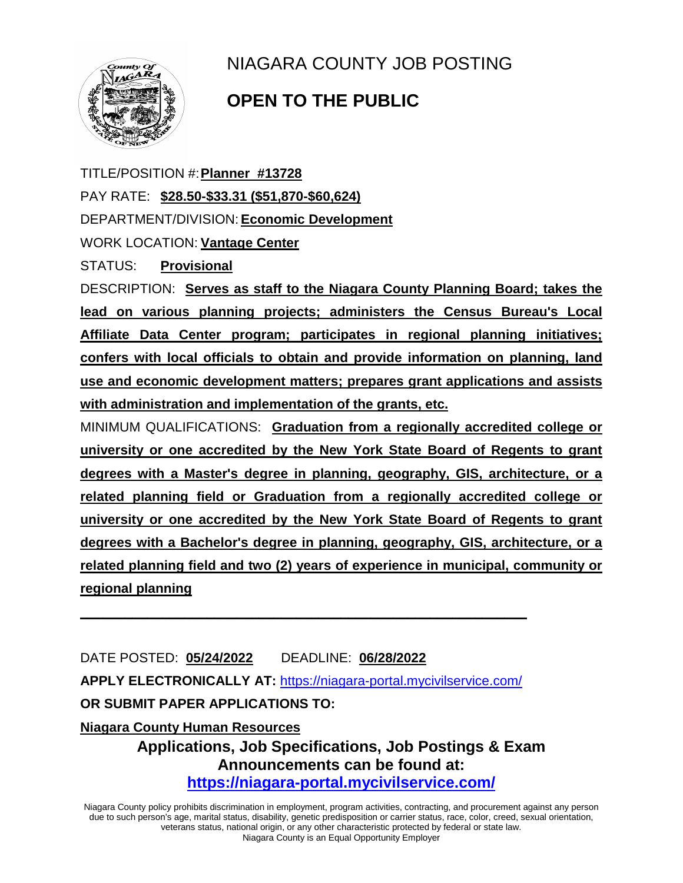

## NIAGARA COUNTY JOB POSTING

## **OPEN TO THE PUBLIC**

TITLE/POSITION #:**Planner #13728** PAY RATE: **\$28.50-\$33.31 (\$51,870-\$60,624)** DEPARTMENT/DIVISION:**Economic Development** WORK LOCATION: **Vantage Center** STATUS: **Provisional**

DESCRIPTION: **Serves as staff to the Niagara County Planning Board; takes the lead on various planning projects; administers the Census Bureau's Local Affiliate Data Center program; participates in regional planning initiatives; confers with local officials to obtain and provide information on planning, land use and economic development matters; prepares grant applications and assists with administration and implementation of the grants, etc.**

MINIMUM QUALIFICATIONS: **Graduation from a regionally accredited college or university or one accredited by the New York State Board of Regents to grant degrees with a Master's degree in planning, geography, GIS, architecture, or a related planning field or Graduation from a regionally accredited college or university or one accredited by the New York State Board of Regents to grant degrees with a Bachelor's degree in planning, geography, GIS, architecture, or a related planning field and two (2) years of experience in municipal, community or regional planning** 

DATE POSTED: **05/24/2022** DEADLINE: **06/28/2022 APPLY ELECTRONICALLY AT:** <https://niagara-portal.mycivilservice.com/> **OR SUBMIT PAPER APPLICATIONS TO: Niagara County Human Resources**

**\_\_\_\_\_\_\_\_\_\_\_\_\_\_\_\_\_\_\_\_\_\_\_\_\_\_\_\_\_\_\_\_\_\_\_\_\_\_\_\_\_\_\_\_\_\_\_\_\_\_\_\_\_\_\_\_\_\_\_\_**

**Applications, Job Specifications, Job Postings & Exam Announcements can be found at: <https://niagara-portal.mycivilservice.com/>**

Niagara County policy prohibits discrimination in employment, program activities, contracting, and procurement against any person due to such person's age, marital status, disability, genetic predisposition or carrier status, race, color, creed, sexual orientation, veterans status, national origin, or any other characteristic protected by federal or state law. Niagara County is an Equal Opportunity Employer